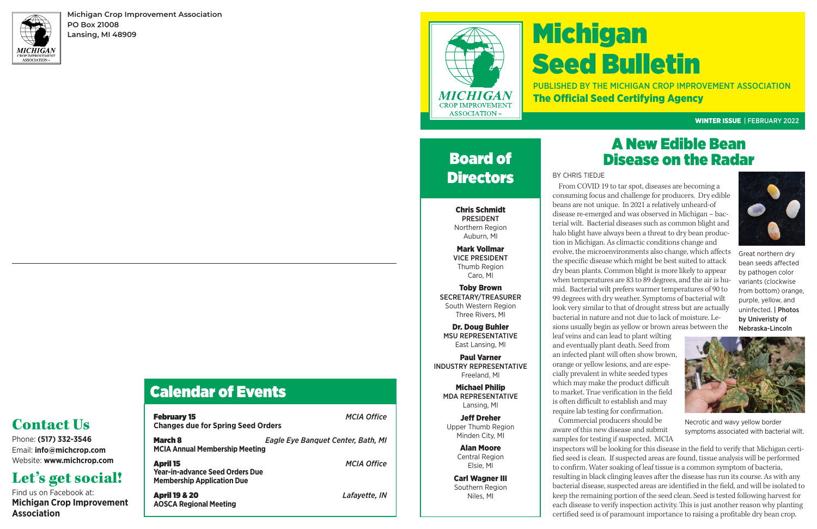# Michigan Seed Bulletin PUBLISHED BY THE MICHIGAN CROP IMPROVEMENT ASSOCIATION

The Official Seed Certifying Agency

#### WINTER ISSUE | FEBRUARY 2022

## A New Edible Bean Disease on the Radar

#### BY CHRIS TIEDJE

From COVID 19 to tar spot, diseases are becoming a consuming focus and challenge for producers. Dry edible beans are not unique. In 2021 a relatively unheard-of disease re-emerged and was observed in Michigan – bacterial wilt. Bacterial diseases such as common blight and halo blight have always been a threat to dry bean production in Michigan. As climactic conditions change and evolve, the microenvironments also change, which affects the specific disease which might be best suited to attack dry bean plants. Common blight is more likely to appear when temperatures are 83 to 89 degrees, and the air is humid. Bacterial wilt prefers warmer temperatures of 90 to 99 degrees with dry weather. Symptoms of bacterial wilt look very similar to that of drought stress but are actually bacterial in nature and not due to lack of moisture. Lesions usually begin as yellow or brown areas between the

Board of **Directors** 

> leaf veins and can lead to plant wilting and eventually plant death. Seed from an infected plant will often show brown, orange or yellow lesions, and are especially prevalent in white seeded types which may make the product difficult to market. True verification in the field is often difficult to establish and may require lab testing for confirmation. Commercial producers should be aware of this new disease and submit samples for testing if suspected. MCIA



inspectors will be looking for this disease in the field to verify that Michigan certified seed is clean. If suspected areas are found, tissue analysis will be performed to confirm. Water soaking of leaf tissue is a common symptom of bacteria, resulting in black clinging leaves after the disease has run its course. As with any bacterial disease, suspected areas are identified in the field, and will be isolated to keep the remaining portion of the seed clean. Seed is tested following harvest for each disease to verify inspection activity. This is just another reason why planting certified seed is of paramount importance to raising a profitable dry bean crop.



**Michigan Crop Improvement Association PO Box 21008 Lansing, MI 48909**



## Calendar of Events

| <b>February 15</b><br><b>Changes due for Spring Seed Orders</b>                                | <b>MCIA Office</b>                        |
|------------------------------------------------------------------------------------------------|-------------------------------------------|
| <b>March 8</b><br><b>MCIA Annual Membership Meeting</b>                                        | <b>Eagle Eye Banquet Center, Bath, MI</b> |
| <b>April 15</b><br><b>Year-in-advance Seed Orders Due</b><br><b>Membership Application Due</b> | <b>MCIA Office</b>                        |
| <b>April 19 &amp; 20</b><br><b>AOSCA Regional Meeting</b>                                      | Lafayette, IN                             |

Phone: **(517) 332-3546** Email: **info@michcrop.com** Website: **www.michcrop.com**

## Let's get social!

Find us on Facebook at: **Michigan Crop Improvement Association**

Chris Schmidt PRESIDENT Northern Region Auburn, MI

Mark Vollmar VICE PRESIDENT Thumb Region Caro, MI

Toby Brown SECRETARY/TREASURER South Western Region Three Rivers, MI

Dr. Doug Buhler MSU REPRESENTATIVE East Lansing, MI

Paul Varner INDUSTRY REPRESENTATIVE Freeland, MI

Michael Philip MDA REPRESENTATIVE Lansing, MI

Jeff Dreher Upper Thumb Region Minden City, MI

> Alan Moore Central Region Elsie, MI

Carl Wagner III Southern Region Niles, MI

Great northern dry bean seeds affected by pathogen color variants (clockwise from bottom) orange, purple, yellow, and uninfected. | Photos by Univeristy of Nebraska-Lincoln



Necrotic and wavy yellow border symptoms associated with bacterial wilt.